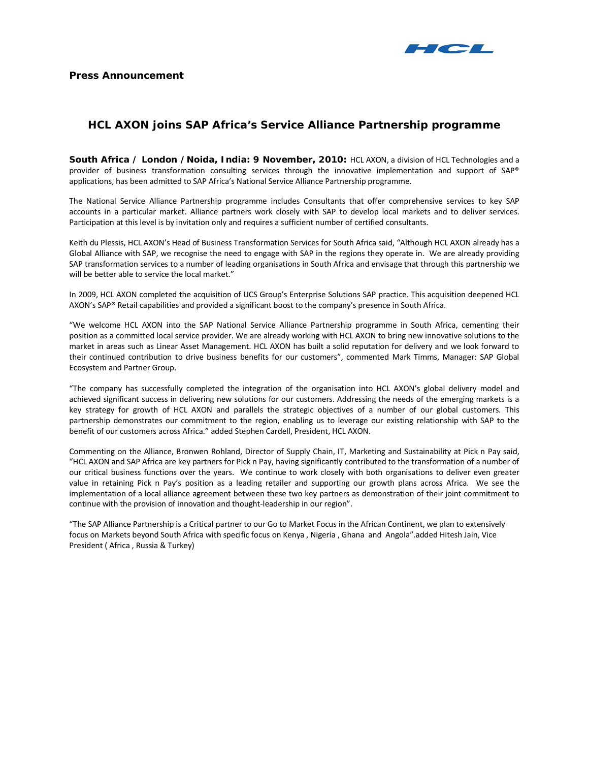

# **HCL AXON joins SAP Africa's Service Alliance Partnership programme**

**South Africa / London /Noida, India: 9 November, 2010:** HCL AXON, a division of HCL Technologies and a provider of business transformation consulting services through the innovative implementation and support of SAP® applications, has been admitted to SAP Africa's National Service Alliance Partnership programme.

The National Service Alliance Partnership programme includes Consultants that offer comprehensive services to key SAP accounts in a particular market. Alliance partners work closely with SAP to develop local markets and to deliver services. Participation at this level is by invitation only and requires a sufficient number of certified consultants.

Keith du Plessis, HCL AXON's Head of Business Transformation Services for South Africa said, "Although HCL AXON already has a Global Alliance with SAP, we recognise the need to engage with SAP in the regions they operate in. We are already providing SAP transformation services to a number of leading organisations in South Africa and envisage that through this partnership we will be better able to service the local market."

In 2009, HCL AXON completed the acquisition of UCS Group's Enterprise Solutions SAP practice. This acquisition deepened HCL AXON's SAP® Retail capabilities and provided a significant boost to the company's presence in South Africa.

"We welcome HCL AXON into the SAP National Service Alliance Partnership programme in South Africa, cementing their position as a committed local service provider. We are already working with HCL AXON to bring new innovative solutions to the market in areas such as Linear Asset Management. HCL AXON has built a solid reputation for delivery and we look forward to their continued contribution to drive business benefits for our customers", commented Mark Timms, Manager: SAP Global Ecosystem and Partner Group.

"The company has successfully completed the integration of the organisation into HCL AXON's global delivery model and achieved significant success in delivering new solutions for our customers. Addressing the needs of the emerging markets is a key strategy for growth of HCL AXON and parallels the strategic objectives of a number of our global customers. This partnership demonstrates our commitment to the region, enabling us to leverage our existing relationship with SAP to the benefit of our customers across Africa." added Stephen Cardell, President, HCL AXON.

Commenting on the Alliance, Bronwen Rohland, Director of Supply Chain, IT, Marketing and Sustainability at Pick n Pay said, "HCL AXON and SAP Africa are key partners for Pick n Pay, having significantly contributed to the transformation of a number of our critical business functions over the years. We continue to work closely with both organisations to deliver even greater value in retaining Pick n Pay's position as a leading retailer and supporting our growth plans across Africa. We see the implementation of a local alliance agreement between these two key partners as demonstration of their joint commitment to continue with the provision of innovation and thought-leadership in our region".

"The SAP Alliance Partnership is a Critical partner to our Go to Market Focus in the African Continent, we plan to extensively focus on Markets beyond South Africa with specific focus on Kenya , Nigeria , Ghana and Angola".added Hitesh Jain, Vice President ( Africa , Russia & Turkey)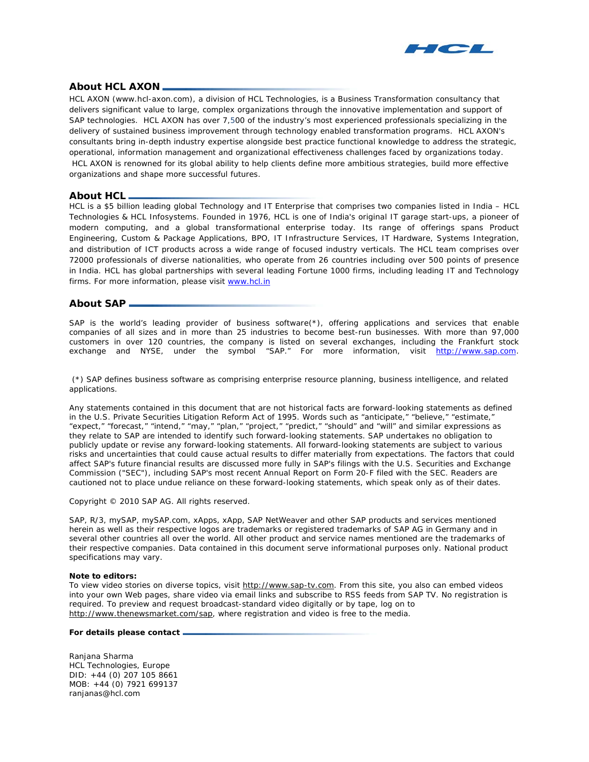

## **About HCL AXON**

HCL AXON (www.hcl-axon.com), a division of HCL Technologies, is a Business Transformation consultancy that delivers significant value to large, complex organizations through the innovative implementation and support of SAP technologies. HCL AXON has over 7,500 of the industry's most experienced professionals specializing in the delivery of sustained business improvement through technology enabled transformation programs. HCL AXON's consultants bring in-depth industry expertise alongside best practice functional knowledge to address the strategic, operational, information management and organizational effectiveness challenges faced by organizations today. HCL AXON is renowned for its global ability to help clients define more ambitious strategies, build more effective organizations and shape more successful futures.

## **About HCL**

HCL is a \$5 billion leading global Technology and IT Enterprise that comprises two companies listed in India – HCL Technologies & HCL Infosystems. Founded in 1976, HCL is one of India's original IT garage start-ups, a pioneer of modern computing, and a global transformational enterprise today. Its range of offerings spans Product Engineering, Custom & Package Applications, BPO, IT Infrastructure Services, IT Hardware, Systems Integration, and distribution of ICT products across a wide range of focused industry verticals. The HCL team comprises over 72000 professionals of diverse nationalities, who operate from 26 countries including over 500 points of presence in India. HCL has global partnerships with several leading Fortune 1000 firms, including leading IT and Technology firms. For more information, please visit [www.hcl.in](http://www.hcl.in/)

### **About SAP**

SAP is the world's leading provider of business software(\*), offering applications and services that enable companies of all sizes and in more than 25 industries to become best-run businesses. With more than 97,000 customers in over 120 countries, the company is listed on several exchanges, including the Frankfurt stock exchange and NYSE, under the symbol "SAP." For more information, visit [http://www.sap.com.](http://www.sap.com/)

(\*) SAP defines business software as comprising enterprise resource planning, business intelligence, and related applications.

Any statements contained in this document that are not historical facts are forward-looking statements as defined in the U.S. Private Securities Litigation Reform Act of 1995. Words such as "anticipate," "believe," "estimate," "expect," "forecast," "intend," "may," "plan," "project," "predict," "should" and "will" and similar expressions as they relate to SAP are intended to identify such forward-looking statements. SAP undertakes no obligation to publicly update or revise any forward-looking statements. All forward-looking statements are subject to various risks and uncertainties that could cause actual results to differ materially from expectations. The factors that could affect SAP's future financial results are discussed more fully in SAP's filings with the U.S. Securities and Exchange Commission ("SEC"), including SAP's most recent Annual Report on Form 20-F filed with the SEC. Readers are cautioned not to place undue reliance on these forward-looking statements, which speak only as of their dates.

Copyright © 2010 SAP AG. All rights reserved.

SAP, R/3, mySAP, mySAP.com, xApps, xApp, SAP NetWeaver and other SAP products and services mentioned herein as well as their respective logos are trademarks or registered trademarks of SAP AG in Germany and in several other countries all over the world. All other product and service names mentioned are the trademarks of their respective companies. Data contained in this document serve informational purposes only. National product specifications may vary.

#### **Note to editors:**

To view video stories on diverse topics, visit [http://www.sap-tv.com.](http://www.sap-tv.com/) From this site, you also can embed videos into your own Web pages, share video via email links and subscribe to RSS feeds from SAP TV. No registration is required. To preview and request broadcast-standard video digitally or by tape, log on to [http://www.thenewsmarket.com/sap,](http://www.thenewsmarket.com/sap) where registration and video is free to the media.

#### **For details please contact**

Ranjana Sharma HCL Technologies, Europe DID: +44 (0) 207 105 8661 MOB: +44 (0) 7921 699137 ranjanas@hcl.com